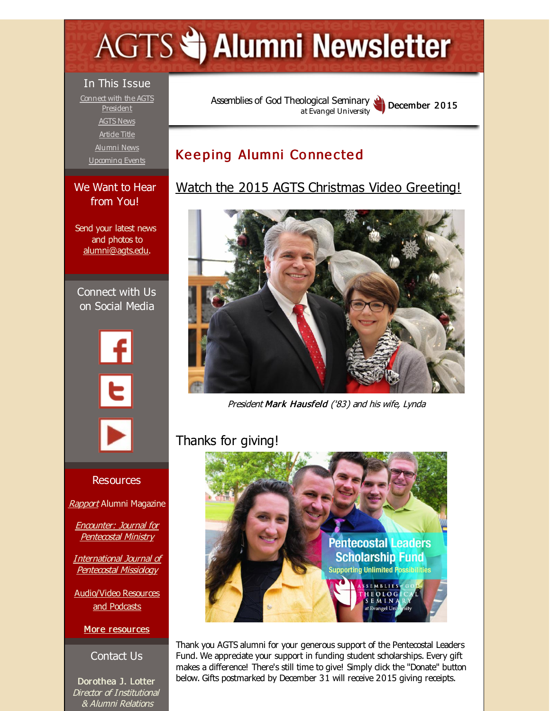# <span id="page-0-0"></span>**AGTS Statement Newsletter**

#### In This Issue

Connect with the AGTS [President](#page-0-0) [AGTS](#page-0-0) News Artide Title [Alumni](#page-0-0) News [Upcoming](#page-0-0) Events

#### We Want to Hear from You!

Send your latest news and photos to [alumni@agts.edu](mailto:alumni@agts.edu).

Connect with Us on Social Media





#### **Resources**

[Rapport](http://r20.rs6.net/tn.jsp?f=001DMmiLvDgn9GbqPs160iCHUMjj4SUFjuRWw5L2-qsEURgOvpEpozRTQgNuT4IFvXbHHRXs0N50H09nF4-lmkXZ2ljuvUG1cauz1jiC_8qufyCwpN53dtPDtQQA6HSSDRSzjvH_GzNSbXIBwAty5dUlmOkgGTd_uxeC4GAEoSuzNv507rEI3tkJu4Jm5vwMN4o&c=&ch=) Alumni Magazine

Encounter: Journal for [Pentecostal](http://r20.rs6.net/tn.jsp?f=001DMmiLvDgn9GbqPs160iCHUMjj4SUFjuRWw5L2-qsEURgOvpEpozRTZ9nC1a7fB6Ng3nxpiwSvphtOlol_UU439GfiS5EQQzWwp9nXRwE7O0nR3x4R_-PFOW6LjE7nOuXowOnFiaT6pZTxn7cQaKbEDjVhHVQajr06akPlIY3Nu3SbbxPKFKr-WebdNKEb5I1&c=&ch=) Ministry

[International](http://r20.rs6.net/tn.jsp?f=001DMmiLvDgn9GbqPs160iCHUMjj4SUFjuRWw5L2-qsEURgOvpEpozRTZ49ft_T9shSpQj_Co1py1VgwYPBxxlyBFbPKBb0TFpmS0lj92ZNpkn-y2sRWvvCh_8ZLMRZtvVYiz3NP3fwPs2S-90lqHGk1WT6ojFXRyFFDbhrNKF4U5zROdhMateHxzACi2x8WIX6&c=&ch=) Journal of Pentecostal Missiology

[Audio/Video](http://r20.rs6.net/tn.jsp?f=001DMmiLvDgn9GbqPs160iCHUMjj4SUFjuRWw5L2-qsEURgOvpEpozRTTE3azDfz1BSm_GLuFztrsIzwcpPa5k-0-plUMa_t8t2RlQaUi7HLx3q-EL15x9J6kq2Z_SfmjYs8m6wBTDGXlDErmU09Yx7FAJmmWzYXgqQ7_kSEdNXdCr13f-LrX1PfRcggyxuYMSW&c=&ch=) Resources and Podcasts

More [resources](http://r20.rs6.net/tn.jsp?f=001DMmiLvDgn9GbqPs160iCHUMjj4SUFjuRWw5L2-qsEURgOvpEpozRTZWieGQ3EDgv7mpTFjMOaOATEY1Ri_zXapZOgu1pZovouUIeq64HlKWDW00MvZk8unpf20CP2vKnph8t4xbNjVXaI6P2YZK4y9RfPd-Udgg6pAuPvIJG_GkYEMLm86qF_nMPeKeg7qf1JHYdaFA5cik=&c=&ch=)

#### Contact Us

Dorothea J. Lotter Director of Institutional & Alumni Relations

Assemblies of God [Theological](http://r20.rs6.net/tn.jsp?f=001DMmiLvDgn9GbqPs160iCHUMjj4SUFjuRWw5L2-qsEURgOvpEpozRTYMXZ7uNPMM6_ZbybNIf8WifkL9biakda-HcF3wv_QydixQmcqeB2DBnhCEFTKhff4A5B7eX5qqzJ6BxOGMFWoLzTwkyZQXKAZSrJOHVdLUD&c=&ch=) Seminary at Evangel University December 2015

# **Keeping Alumni Connected**

# Watch the 2015 AGTS [Christmas](http://r20.rs6.net/tn.jsp?f=001DMmiLvDgn9GbqPs160iCHUMjj4SUFjuRWw5L2-qsEURgOvpEpozRTbFbSDK8Eemg9Np1SusYRv_FzpxDtkX6TX0Zyuvzqm4R3TpYGHX5RPX-kBVKCT17bVI3I1HxEaV5w69lLAEwsfat_bGxQuJTIB8wE5hp2emIrDWb-PvIp37qy95iA9a9Ug==&c=&ch=) Video Greeting!



President Mark Hausfeld ('83) and his wife, Lynda

## Thanks for giving!



Thank you AGTS alumni for your generous support of the Pentecostal Leaders Fund. We appreciate your support in funding student scholarships. Every gift makes a difference! There's still time to give! Simply dick the "Donate" button below. Gifts postmarked by December 31 will receive 2015 giving receipts.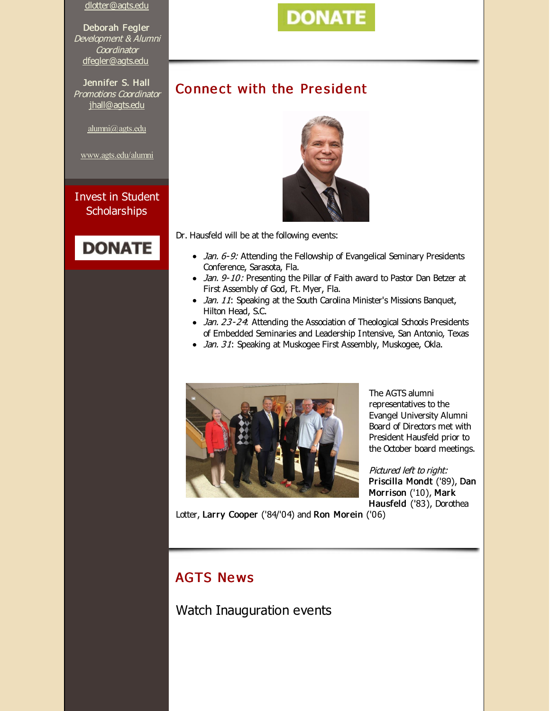#### [dlotter@agts.edu](mailto:dlotter@agts.edu)

Deborah Fegler Development & Alumni **Coordinator** [dfegler@agts.edu](mailto:dfegler@agts.edu)

Jennifer S. Hall Promotions Coordinator [jhall@agts.edu](mailto:jhall@agts.edu)

[alumni@agts.edu](mailto:alumni@agts.edu)

[www.agts.edu/alumni](http://r20.rs6.net/tn.jsp?f=001DMmiLvDgn9GbqPs160iCHUMjj4SUFjuRWw5L2-qsEURgOvpEpozRTfmXsbALRps6ni8wT9vLUrfr25FeRkc78V3vjppCApiGjd4kro3qcNkvv3vXH4LUNdtpzRP6RUVTLyRqdVvSVJ_co6TtBTpkSSULp0-P_fyuTImpPAxWKbmYINbQi_oILw==&c=&ch=)

#### Invest in Student **Scholarships**



# **DONATE**

# Connect with the President



Dr. Hausfeld will be at the following events:

- Jan. 6-9: Attending the Fellowship of Evangelical Seminary Presidents Conference, Sarasota, Fla.
- Jan. 9-10: Presenting the Pillar of Faith award to Pastor Dan Betzer at First Assembly of God, Ft. Myer, Fla.
- Jan. 11: Speaking at the South Carolina Minister's Missions Banquet, Hilton Head, S.C.
- Jan. 23-24: Attending the Association of Theological Schools Presidents of Embedded Seminaries and Leadership Intensive, San Antonio, Texas
- Jan. 31: Speaking at Muskogee First Assembly, Muskogee, Okla.



The AGTS alumni representatives to the Evangel University Alumni Board of Directors met with President Hausfeld prior to the October board meetings.

Pictured left to right: Priscilla Mondt ('89), Dan Morrison ('10), Mark Hausfeld ('83), Dorothea

Lotter, Larry Cooper ('84/'04) and Ron Morein ('06)

# **AGTS News**

Watch Inauguration events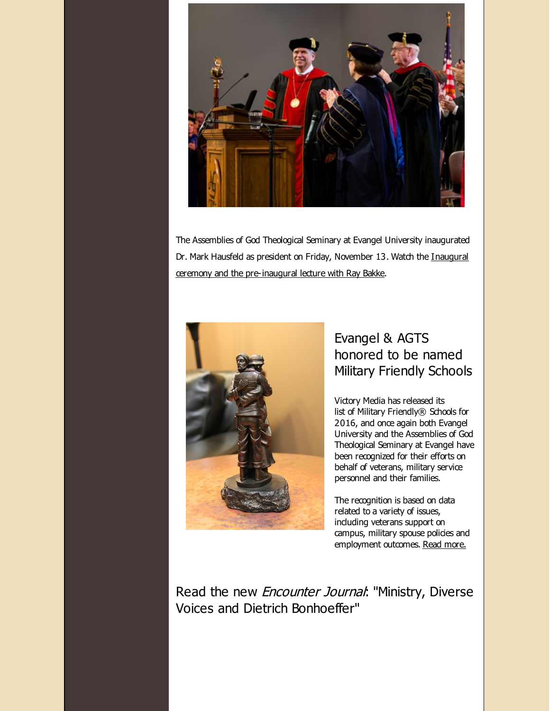

The Assemblies of God Theological Seminary at Evangel University inaugurated Dr. Mark Hausfeld as president on Friday, November 13. Watch the Inaugural ceremony and the [pre-inaugural](http://r20.rs6.net/tn.jsp?f=001DMmiLvDgn9GbqPs160iCHUMjj4SUFjuRWw5L2-qsEURgOvpEpozRTaVV1s1AYHsrqsXVBvaHB-sRgL1yy7KilIOWOXzRpXNaEePjCCHwks-6Ab__AALx2iY6-hcrfhaaIiF55ad-kMa2veouiR9oyg-A_VvuRcJundHoO9amhhVAVMdZhKJsvMqPrhO721bIkRw-sBbarA24VAQV3LmCQ2aRhYX2a5nuCl5FbjlAsc0ii4BfIib6vw==&c=&ch=) lecture with Ray Bakke.



#### Evangel & AGTS honored to be named Military Friendly Schools

Victory Media has released its list of Military Friendly® Schools for 2016, and once again both Evangel University and the Assemblies of God Theological Seminary at Evangel have been recognized for their efforts on behalf of veterans, military service personnel and their families.

The recognition is based on data related to a variety of issues, induding veterans support on campus, military spouse policies and employment outcomes. Read [more.](http://r20.rs6.net/tn.jsp?f=001DMmiLvDgn9GbqPs160iCHUMjj4SUFjuRWw5L2-qsEURgOvpEpozRTaVV1s1AYHsrdT99yQbDcwfX0Y2NzpP0fUBcZmJUW-UKjKAqvSTJCGn9jaVuM3RBRDnXGdGq5YgjVwl0Hkubl2JzI7h0eA6f0-bnb2uPg0JmtOO2DETD-g56_8Ip6tbDCWsvgYFTQZnAIYlxlW9Kwuo2s3g1DJAF5ilJ1DF0MiUF_fVWq0G_MBSaW_UjGITiq9HmV1ewDrz_&c=&ch=)

Read the new *Encounter Journal*: "Ministry, Diverse Voices and Dietrich Bonhoeffer"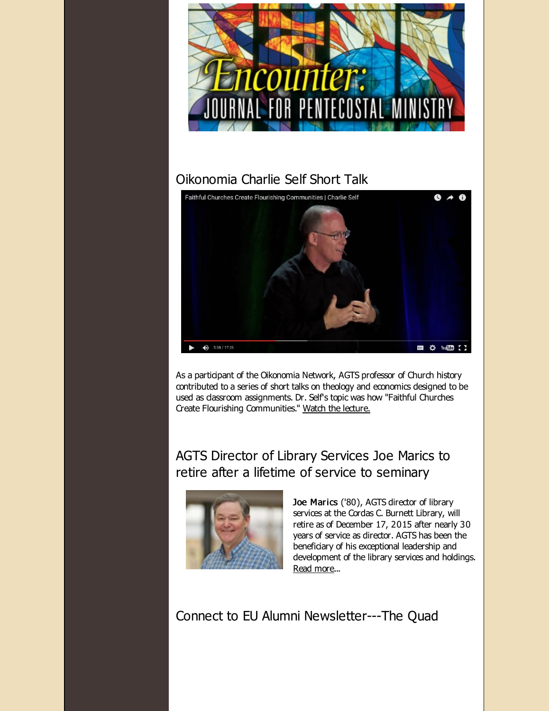

# Oikonomia Charlie Self Short Talk



As a participant of the Oikonomia Network, AGTS professor of Church history contributed to a series of short talks on theology and economics designed to be used as classroom assignments. Dr. Self's topic was how "Faithful Churches Create Flourishing Communities." Watch the [lecture.](http://r20.rs6.net/tn.jsp?f=001DMmiLvDgn9GbqPs160iCHUMjj4SUFjuRWw5L2-qsEURgOvpEpozRTaVV1s1AYHsrHe0fNy05Zflj2vVFaEu15I6-z69bD6syNBcj-k6DatggNHIQMBQOfeK_GL2Rlp4gFC7wjGRCuUgHxeB-jq2Pix9UYX08ZSPQdP9bIwuN76GaO1nVbyMYiesYUyteDzKRYjvVEktuvWln5KjzGP-IWCCQZIWxSseMh8ZsxhMqJYlKCocO1CKjztm2OLKBltQHAJJPcmFGA31rQIbP5wjaXQ==&c=&ch=)

AGTS Director of Library Services Joe Marics to retire after a lifetime of service to seminary



Joe Marics ('80), AGTS director of library services at the Cordas C. Burnett Library, will retire as of December 17, 2015 after nearly 30 years of service as director. AGTS has been the beneficiary of his exceptional leadership and development of the library services and holdings. Read [more.](http://r20.rs6.net/tn.jsp?f=001DMmiLvDgn9GbqPs160iCHUMjj4SUFjuRWw5L2-qsEURgOvpEpozRTbFbSDK8EemgS84GsDam8PV-V9puCyLeCGMH0CzlVYa0M573k7R6xApdtFYEUKhn8j9F-8pnotas6e5NKYw6Ukq1aOWqj4hA-_9XewfMGUBbxAIW-EuAmzqeEuEVWj_YB-ORWX_LuEnU8plK32ttiuqKZXKDkRg2QxKh2NPJCPANHLI6lsOX0mU=&c=&ch=)..

Connect to EU Alumni Newsletter---The Quad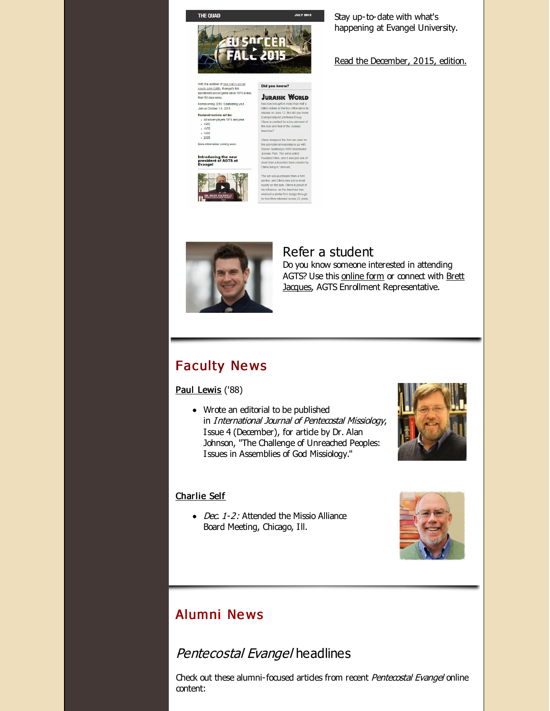

e 12 But did yo

Evangel adjunct professor Doug Olena is credited for a key element of

the look and feel of the Jurassic

romotional materials to go<br>sn Spielberg's 1993 blockb<br>sic Park. The set is called<br>and Inline, and it was just of<br>than a hundred fonts crea

ervice, and Olena saw just a small<br>syalty on the sale. Olena is proud of<br>s influence, as the franchise has<br>tained a similar font design throug<br>four films released across 22 year

than a hundred fonts lena ilving in Vermont

Homecoming 2015: Celebrating yoU.<br>Join us October 1-3, 2015. Featured reunions will be:<br>MI soccer players 1974 and prior  $+ 1965$ <br> $+ 1975$ <br> $+ 1990$ <br> $+ 2005$ More information coming soon.

#### Introducing the new<br>president of AGTS at<br>Evangel



#### Stay up-to-date with what's happening at Evangel University.

Read the [December,](http://r20.rs6.net/tn.jsp?f=001DMmiLvDgn9GbqPs160iCHUMjj4SUFjuRWw5L2-qsEURgOvpEpozRTaVV1s1AYHsraOZCLV42IBDDwYcn06A0bSn1yVyqhnqZuDbY95lWcJhMIZy9Jn3L2r4OjzsIljtZHdVZBWtxVZ9f-Gb2H5KnkEXWpH6Qa77QeABR9gIiguAKHy-yPgsOkIGrjiKTz1nd9hUYia5N9cKybeCO4soFs_2DNHzNUxOp30xQj3dE-QMpUDYMW6FCAfD8QLvKlbj51_EXhYJcTRzdZyP-vA4xRpi-hRzBwGdo&c=&ch=) 2015, edition.



#### Refer a student

Do you know someone interested in attending AGTS? Use this [online](http://r20.rs6.net/tn.jsp?f=001DMmiLvDgn9GbqPs160iCHUMjj4SUFjuRWw5L2-qsEURgOvpEpozRTZrLJaxDuAPwafm9kJTcEfAqkElqiTnDuXp9-Y45nK-bc7fjapRgam7VVIkR8XwuArZdSzQCJpPtSActmQUvS7Ni9HGldMWMxC6rcTO-Sl_RS1SXT44VkyKQPJ0IrElPRsQcVvnoZPFk&c=&ch=) form or connect with Brett Jacques, AGTS Enrollment [Representative.](mailto:jacquesb@evangel.edu)

## Faculty Ne ws

#### Paul [Lewis](http://r20.rs6.net/tn.jsp?f=001DMmiLvDgn9GbqPs160iCHUMjj4SUFjuRWw5L2-qsEURgOvpEpozRTec21-3dkOOOkQUatQa9OPq_LegUNTXkVIhF_AAZfPsgLbhULoPS3d7DPTmXMD4e4m1dZGwMZeXe8Vv9wBqXKWeE90bvckjYmyrhVfEOvHq1nCDjK1JWul28Ttw_z2TBdm_WHm6uzGbI&c=&ch=) ('88)

• Wrote an editorial to be published in International Journal of Pentecostal Missiology, Issue 4 (December), for artide by Dr. Alan Johnson, "The Challenge of Unreached Peoples: Issues in Assemblies of God Missiology."



#### [Charlie](http://r20.rs6.net/tn.jsp?f=001DMmiLvDgn9GbqPs160iCHUMjj4SUFjuRWw5L2-qsEURgOvpEpozRTZ49ft_T9shS0ey0T6_ug34-Ex8SyNnPwnBmjTS3rsG1sltDdamOoctJh9rx9hrFPTXFU1NFjIxjQMHCaXUKSMpAUOaMNgKADgVlNWizOtJVdJ0nUt-ef3_zdn9Twx8RksdRtanqnGIP&c=&ch=) Self

• *Dec. 1-2:* Attended the Missio Alliance Board Meeting, Chicago, Ill.



# Alumni Ne ws

# Pentecostal Evangel headlines

Check out these alumni-focused articles from recent Pentecostal Evangel online content: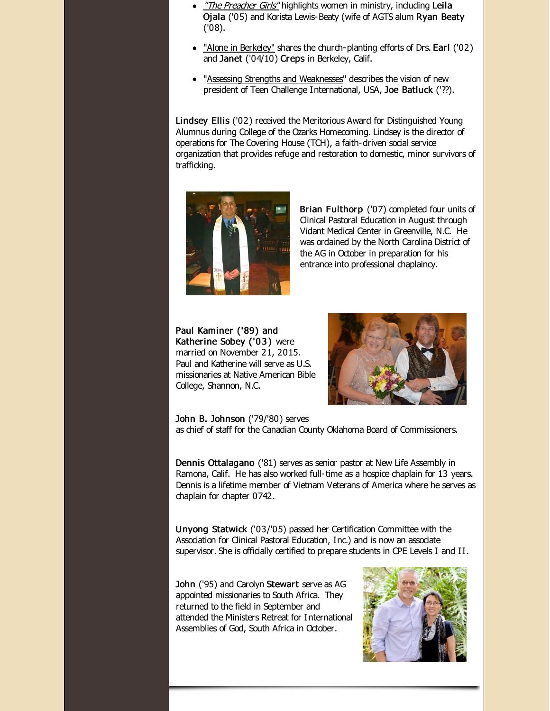- "The [Preacher](http://r20.rs6.net/tn.jsp?f=001DMmiLvDgn9GbqPs160iCHUMjj4SUFjuRWw5L2-qsEURgOvpEpozRTaVV1s1AYHsrEuhOc0mOYXoJVoQeoI-EaCy0XEqbYkrz8fKw1JvEwGy8mJirh1eVP5z257dWs6aXyEZ6-D2NF1vimLoqlvhC1wrxO2MHhPTuM3MCMrBHcKxYuQEQgLnuMRnhBmtwM-dfYSqPH5RymmA=&c=&ch=) Girls" highlights women in ministry, induding Leila Ojala ('05) and Korista Lewis-Beaty (wife of AGTS alum Ryan Beaty ('08).
- "Alone in [Berkeley"](http://r20.rs6.net/tn.jsp?f=001DMmiLvDgn9GbqPs160iCHUMjj4SUFjuRWw5L2-qsEURgOvpEpozRTaVV1s1AYHsrwOZdVfd2QnfiUk2OksRrstUpk2VjOXL2Knx8MsYvBTAkOyW5pK_3ib5nEgyY5UApBa0yGjRTk_mK3HQ2-Z93bA81b-1MaFU1O1-XtiJoFAHTKRnz2Koy4oXhmEo6gql8RiLhAD0Ljys=&c=&ch=) shares the church-planting efforts of Drs. Earl ('02) and Janet ('04/10) Creps in Berkeley, Calif.
- "Assessing Strengths and [Weaknesses](http://r20.rs6.net/tn.jsp?f=001DMmiLvDgn9GbqPs160iCHUMjj4SUFjuRWw5L2-qsEURgOvpEpozRTaVV1s1AYHsroiiZCQF_OW0ZVJYNVH6Ge5HI66MTmQm_TZ3YAWl3tnnm4ZEZGn6zz-l9UPzp-XlHq5Ou5ona9uVrA42a6y9q0AeHkdb-hPB2F1hJ23N8fRUFTNZ9xQL4YHstMKrkh0HPkZFuC2GVBTRr7sVAJ7jnJP3enErAy0dO&c=&ch=)" describes the vision of new president of Teen Challenge International, USA, Joe Batluck ('??).

Lindsey Ellis ('02) received the Meritorious Award for Distinguished Young Alumnus during College of the Ozarks Homecoming. Lindsey is the director of operations for The Covering House (TCH), a faith-driven social service organization that provides refuge and restoration to domestic, minor survivors of trafficking.



Brian Fulthorp ('07) completed four units of Clinical Pastoral Education in August through Vidant Medical Center in Greenville, N.C. He was ordained by the North Carolina District of the AG in October in preparation for his entrance into professional chaplaincy.

Paul Kaminer ('89) and Katherine Sobey ('03) were married on November 21, 2015. Paul and Katherine will serve as U.S. missionaries at Native American Bible College, Shannon, N.C.



John B. Johnson ('79/'80) serves

as chief of staff for the Canadian County Oklahoma Board of Commissioners.

Dennis Ottalagano ('81) serves as senior pastor at New Life Assembly in Ramona, Calif. He has also worked full-time as a hospice chaplain for 13 years. Dennis is a lifetime member of Vietnam Veterans of America where he serves as chaplain for chapter 0742.

Unyong Statwick ('03/'05) passed her Certification Committee with the Association for Clinical Pastoral Education, Inc.) and is now an associate supervisor. She is officially certified to prepare students in CPE Levels I and II.

John ('95) and Carolyn Stewart serve as AG appointed missionaries to South Africa. They returned to the field in September and attended the Ministers Retreat for International Assemblies of God, South Africa in October.